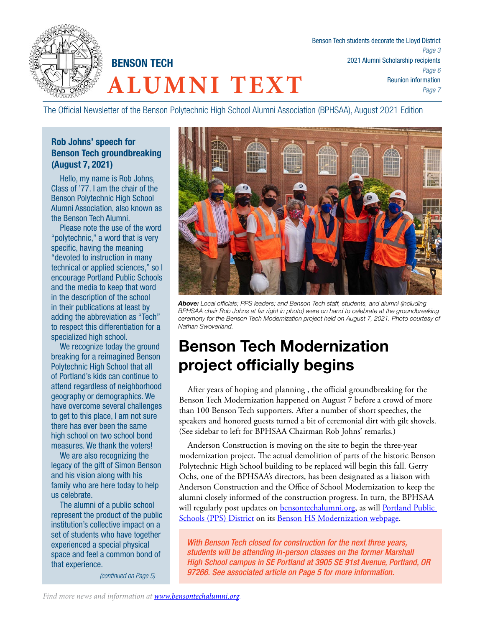

Benson Tech students decorate the Lloyd District *Page 3* 2021 Alumni Scholarship recipients *Page 6* Reunion information *Page 7*

The Official Newsletter of the Benson Polytechnic High School Alumni Association (BPHSAA), August 2021 Edition

## Rob Johns' speech for Benson Tech groundbreaking (August 7, 2021)

Hello, my name is Rob Johns, Class of '77. I am the chair of the Benson Polytechnic High School Alumni Association, also known as the Benson Tech Alumni.

Please note the use of the word "polytechnic," a word that is very specific, having the meaning "devoted to instruction in many technical or applied sciences," so I encourage Portland Public Schools and the media to keep that word in the description of the school in their publications at least by adding the abbreviation as "Tech" to respect this differentiation for a specialized high school.

We recognize today the ground breaking for a reimagined Benson Polytechnic High School that all of Portland's kids can continue to attend regardless of neighborhood geography or demographics. We have overcome several challenges to get to this place, I am not sure there has ever been the same high school on two school bond measures. We thank the voters!

We are also recognizing the legacy of the gift of Simon Benson and his vision along with his family who are here today to help us celebrate.

The alumni of a public school represent the product of the public institution's collective impact on a set of students who have together experienced a special physical space and feel a common bond of that experience.

*(continued on Page 5)*



*Above: Local officials; PPS leaders; and Benson Tech staff, students, and alumni (including BPHSAA chair Rob Johns at far right in photo) were on hand to celebrate at the groundbreaking ceremony for the Benson Tech Modernization project held on August 7, 2021. Photo courtesy of Nathan Swoverland.*

# Benson Tech Modernization project officially begins

After years of hoping and planning , the official groundbreaking for the Benson Tech Modernization happened on August 7 before a crowd of more than 100 Benson Tech supporters. After a number of short speeches, the speakers and honored guests turned a bit of ceremonial dirt with gilt shovels. (See sidebar to left for BPHSAA Chairman Rob Johns' remarks.)

Anderson Construction is moving on the site to begin the three-year modernization project. The actual demolition of parts of the historic Benson Polytechnic High School building to be replaced will begin this fall. Gerry Ochs, one of the BPHSAA's directors, has been designated as a liaison with Anderson Construction and the Office of School Modernization to keep the alumni closely informed of the construction progress. In turn, the BPHSAA will regularly post updates on [bensontechalumni.org](http://bensontechalumni.org), as will Portland Public [Schools \(PPS\) District](https://www.pps.net/) on its [Benson HS Modernization webpage](https://www.pps.net/Page/1838).

*With Benson Tech closed for construction for the next three years, students will be attending in-person classes on the former Marshall High School campus in SE Portland at 3905 SE 91st Avenue, Portland, OR 97266. See associated article on Page 5 for more information.* 

*Find more news and information at [www.bensontechalumni.org](http://www.bensontechalumni.org).*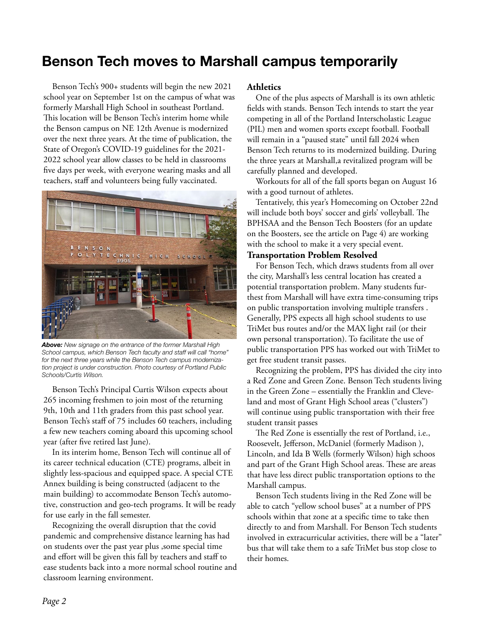# Benson Tech moves to Marshall campus temporarily

Benson Tech's 900+ students will begin the new 2021 school year on September 1st on the campus of what was formerly Marshall High School in southeast Portland. This location will be Benson Tech's interim home while the Benson campus on NE 12th Avenue is modernized over the next three years. At the time of publication, the State of Oregon's COVID-19 guidelines for the 2021- 2022 school year allow classes to be held in classrooms five days per week, with everyone wearing masks and all teachers, staff and volunteers being fully vaccinated.



*Above: New signage on the entrance of the former Marshall High School campus, which Benson Tech faculty and staff will call "home" for the next three years while the Benson Tech campus modernization project is under construction. Photo courtesy of Portland Public Schools/Curtis Wilson.*

Benson Tech's Principal Curtis Wilson expects about 265 incoming freshmen to join most of the returning 9th, 10th and 11th graders from this past school year. Benson Tech's staff of 75 includes 60 teachers, including a few new teachers coming aboard this upcoming school year (after five retired last June).

In its interim home, Benson Tech will continue all of its career technical education (CTE) programs, albeit in slightly less-spacious and equipped space. A special CTE Annex building is being constructed (adjacent to the main building) to accommodate Benson Tech's automotive, construction and geo-tech programs. It will be ready for use early in the fall semester.

Recognizing the overall disruption that the covid pandemic and comprehensive distance learning has had on students over the past year plus ,some special time and effort will be given this fall by teachers and staff to ease students back into a more normal school routine and classroom learning environment.

### **Athletics**

One of the plus aspects of Marshall is its own athletic fields with stands. Benson Tech intends to start the year competing in all of the Portland Interscholastic League (PIL) men and women sports except football. Football will remain in a "paused state" until fall 2024 when Benson Tech returns to its modernized building. During the three years at Marshall,a revitalized program will be carefully planned and developed.

Workouts for all of the fall sports began on August 16 with a good turnout of athletes.

Tentatively, this year's Homecoming on October 22nd will include both boys' soccer and girls' volleyball. The BPHSAA and the Benson Tech Boosters (for an update on the Boosters, see the article on Page 4) are working with the school to make it a very special event.

#### **Transportation Problem Resolved**

For Benson Tech, which draws students from all over the city, Marshall's less central location has created a potential transportation problem. Many students furthest from Marshall will have extra time-consuming trips on public transportation involving multiple transfers . Generally, PPS expects all high school students to use TriMet bus routes and/or the MAX light rail (or their own personal transportation). To facilitate the use of public transportation PPS has worked out with TriMet to get free student transit passes.

Recognizing the problem, PPS has divided the city into a Red Zone and Green Zone. Benson Tech students living in the Green Zone – essentially the Franklin and Cleveland and most of Grant High School areas ("clusters") will continue using public transportation with their free student transit passes

The Red Zone is essentially the rest of Portland, i.e., Roosevelt, Jefferson, McDaniel (formerly Madison ), Lincoln, and Ida B Wells (formerly Wilson) high schoos and part of the Grant High School areas. These are areas that have less direct public transportation options to the Marshall campus.

Benson Tech students living in the Red Zone will be able to catch "yellow school buses" at a number of PPS schools within that zone at a specific time to take then directly to and from Marshall. For Benson Tech students involved in extracurricular activities, there will be a "later" bus that will take them to a safe TriMet bus stop close to their homes.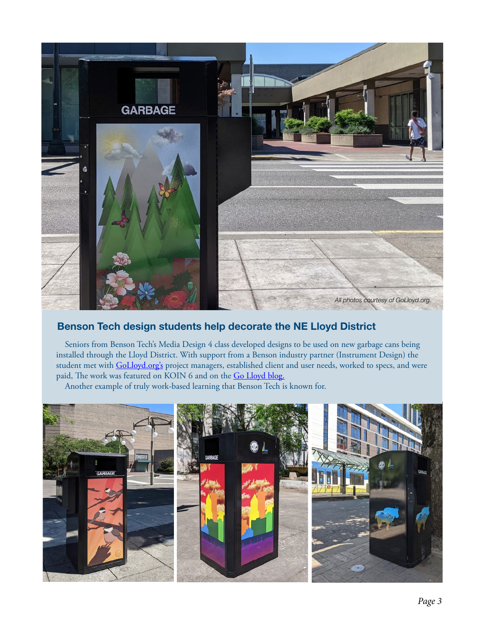

## Benson Tech design students help decorate the NE Lloyd District

Seniors from Benson Tech's Media Design 4 class developed designs to be used on new garbage cans being installed through the Lloyd District. With support from a Benson industry partner (Instrument Design) the student met with [GoLloyd.org's](http://www.golloyd.org/) project managers, established client and user needs, worked to specs, and were paid, The work was featured on KOIN 6 and on the [Go Lloyd blog.](http://www.golloyd.org/blog-1/2020/6/7more-garbage-cans-in-lloyd)

Another example of truly work-based learning that Benson Tech is known for.

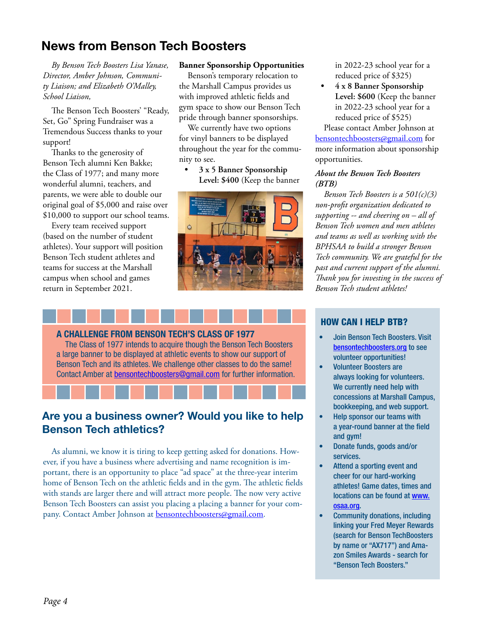# News from Benson Tech Boosters

*By Benson Tech Boosters Lisa Yanase, Director, Amber Johnson, Community Liaison; and Elizabeth O'Malley, School Liaison,* 

The Benson Tech Boosters' "Ready, Set, Go" Spring Fundraiser was a Tremendous Success thanks to your support!

Thanks to the generosity of Benson Tech alumni Ken Bakke; the Class of 1977; and many more wonderful alumni, teachers, and parents, we were able to double our original goal of \$5,000 and raise over \$10,000 to support our school teams.

Every team received support (based on the number of student athletes). Your support will position Benson Tech student athletes and teams for success at the Marshall campus when school and games return in September 2021.

### **Banner Sponsorship Opportunities**

Benson's temporary relocation to the Marshall Campus provides us with improved athletic fields and gym space to show our Benson Tech pride through banner sponsorships.

We currently have two options for vinyl banners to be displayed throughout the year for the community to see.

**• 3 x 5 Banner Sponsorship Level: \$400** (Keep the banner



A CHALLENGE FROM BENSON TECH'S CLASS OF 1977

The Class of 1977 intends to acquire though the Benson Tech Boosters a large banner to be displayed at athletic events to show our support of Benson Tech and its athletes. We challenge other classes to do the same! Contact Amber at [bensontechboosters@gmail.com](mailto:bensontechboosters%40gmail.com?subject=) for further information.

# Are you a business owner? Would you like to help Benson Tech athletics?

As alumni, we know it is tiring to keep getting asked for donations. However, if you have a business where advertising and name recognition is important, there is an opportunity to place "ad space" at the three-year interim home of Benson Tech on the athletic fields and in the gym. The athletic fields with stands are larger there and will attract more people. The now very active Benson Tech Boosters can assist you placing a placing a banner for your company. Contact Amber Johnson at **[bensontechboosters@gmail.com](mailto:bensontechboosters%40gmail.com?subject=)**.

in 2022-23 school year for a reduced price of \$325)

**• 4 x 8 Banner Sponsorship Level: \$600** (Keep the banner in 2022-23 school year for a reduced price of \$525)

Please contact Amber Johnson at [bensontechboosters@gmail.com](mailto:bensontechboosters%40gmail.com?subject=) for more information about sponsorship opportunities.

#### *About the Benson Tech Boosters (BTB)*

*Benson Tech Boosters is a 501(c)(3) non-profit organization dedicated to supporting -- and cheering on – all of Benson Tech women and men athletes and teams as well as working with the BPHSAA to build a stronger Benson Tech community. We are grateful for the past and current support of the alumni. Thank you for investing in the success of Benson Tech student athletes!* 

## HOW CAN I HELP BTB?

- Join Benson Tech Boosters. Visit [bensontechboosters.org](http://bensontechboosters.org) to see volunteer opportunities!
- Volunteer Boosters are always looking for volunteers. We currently need help with concessions at Marshall Campus, bookkeeping, and web support.
- Help sponsor our teams with a year-round banner at the field and gym!
- Donate funds, goods and/or services.
- Attend a sporting event and cheer for our hard-working athletes! Game dates, times and locations can be found at [www.](http://www.osaa.org) [osaa.org.](http://www.osaa.org)
- Community donations, including linking your Fred Meyer Rewards (search for Benson TechBoosters by name or "AX717") and Amazon Smiles Awards - search for "Benson Tech Boosters."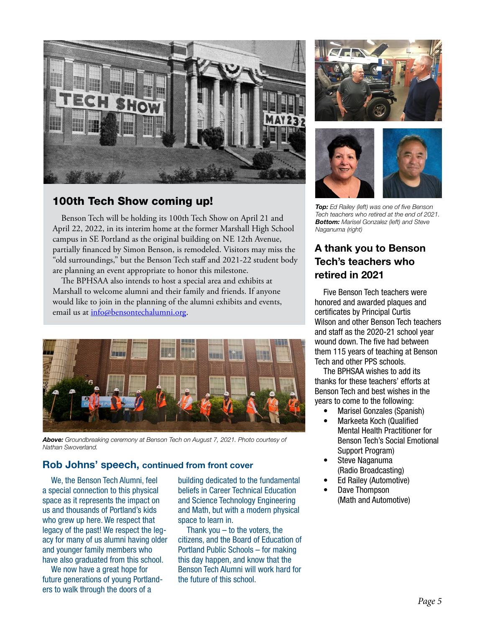

## 100th Tech Show coming up!

Benson Tech will be holding its 100th Tech Show on April 21 and April 22, 2022, in its interim home at the former Marshall High School campus in SE Portland as the original building on NE 12th Avenue, partially financed by Simon Benson, is remodeled. Visitors may miss the "old surroundings," but the Benson Tech staff and 2021-22 student body are planning an event appropriate to honor this milestone.

The BPHSAA also intends to host a special area and exhibits at Marshall to welcome alumni and their family and friends. If anyone would like to join in the planning of the alumni exhibits and events, email us at [info@bensontechalumni.org](mailto:info%40bensontechalumni.org?subject=).



*Above: Groundbreaking ceremony at Benson Tech on August 7, 2021. Photo courtesy of Nathan Swoverland.*

## Rob Johns' speech, continued from front cover

We, the Benson Tech Alumni, feel a special connection to this physical space as it represents the impact on us and thousands of Portland's kids who grew up here. We respect that legacy of the past! We respect the legacy for many of us alumni having older and younger family members who have also graduated from this school.

We now have a great hope for future generations of young Portlanders to walk through the doors of a

building dedicated to the fundamental beliefs in Career Technical Education and Science Technology Engineering and Math, but with a modern physical space to learn in.

Thank you  $-$  to the voters, the citizens, and the Board of Education of Portland Public Schools – for making this day happen, and know that the Benson Tech Alumni will work hard for the future of this school.





*Top: Ed Railey (left) was one of five Benson Tech teachers who retired at the end of 2021. Bottom: Marisel Gonzalez (left) and Steve Naganuma (right)*

# A thank you to Benson Tech's teachers who retired in 2021

Five Benson Tech teachers were honored and awarded plaques and certificates by Principal Curtis Wilson and other Benson Tech teachers and staff as the 2020-21 school year wound down. The five had between them 115 years of teaching at Benson Tech and other PPS schools.

The BPHSAA wishes to add its thanks for these teachers' efforts at Benson Tech and best wishes in the years to come to the following:

- Marisel Gonzales (Spanish)
- Markeeta Koch (Qualified Mental Health Practitioner for Benson Tech's Social Emotional Support Program)
- Steve Naganuma (Radio Broadcasting)
- Ed Railey (Automotive)
- Dave Thompson (Math and Automotive)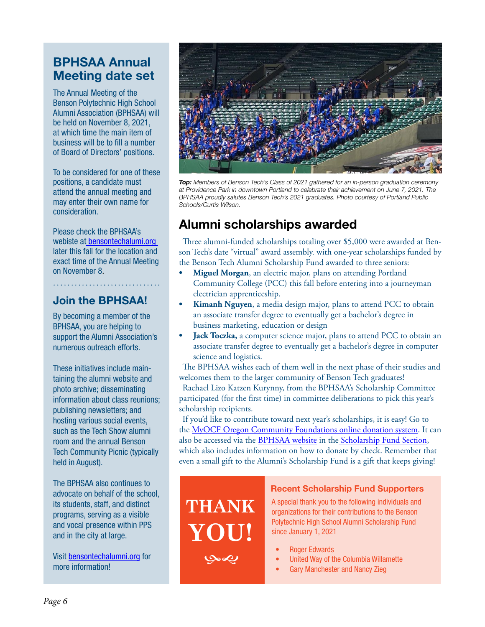# BPHSAA Annual Meeting date set

The Annual Meeting of the Benson Polytechnic High School Alumni Association (BPHSAA) will be held on November 8, 2021, at which time the main item of business will be to fill a number of Board of Directors' positions.

To be considered for one of these positions, a candidate must attend the annual meeting and may enter their own name for consideration.

Please check the BPHSAA's webiste a[t bensontechalumi.org](http:// bensontechalumi.org )  later this fall for the location and exact time of the Annual Meeting on November 8.

# Join the BPHSAA!

By becoming a member of the BPHSAA, you are helping to support the Alumni Association's numerous outreach efforts.

These initiatives include maintaining the alumni website and photo archive; disseminating information about class reunions; publishing newsletters; and hosting various social events, such as the Tech Show alumni room and the annual Benson Tech Community Picnic (typically held in August).

The BPHSAA also continues to advocate on behalf of the school, its students, staff, and distinct programs, serving as a visible and vocal presence within PPS and in the city at large.

Visit [bensontechalumni.org](http://bensontechalumni.org) for more information!



*Top: Members of Benson Tech's Class of 2021 gathered for an in-person graduation ceremony at Providence Park in downtown Portland to celebrate their achievement on June 7, 2021. The BPHSAA proudly salutes Benson Tech's 2021 graduates. Photo courtesy of Portland Public Schools/Curtis Wilson.*

# Alumni scholarships awarded

Three alumni-funded scholarships totaling over \$5,000 were awarded at Benson Tech's date "virtual" award assembly. with one-year scholarships funded by the Benson Tech Alumni Scholarship Fund awarded to three seniors:

- **• Miguel Morgan**, an electric major, plans on attending Portland Community College (PCC) this fall before entering into a journeyman electrician apprenticeship.
- **• Kimanh Nguyen**, a media design major, plans to attend PCC to obtain an associate transfer degree to eventually get a bachelor's degree in business marketing, education or design
- **• Jack Toczka,** a computer science major, plans to attend PCC to obtain an associate transfer degree to eventually get a bachelor's degree in computer science and logistics.

The BPHSAA wishes each of them well in the next phase of their studies and welcomes them to the larger community of Benson Tech graduates!

Rachael Lizo Katzen Kurynny, from the BPHSAA's Scholarship Committee participated (for the first time) in committee deliberations to pick this year's scholarship recipients.

If you'd like to contribute toward next year's scholarships, it is easy! Go to the [MyOCF Oregon Community Foundations online donation system.](https://ocf.iphiview.com/ocf/Home/GiveNow/GiveOnline/tabid/542/dispatch/contribution_id$12865_hash$c4269946c96146500e30f36d981e6a1adc3b4b39/Default.aspx) It can also be accessed via the **BPHSAA** website in the [Scholarship Fund Section](https://www.bensontechalumni.org/sections/scholarship/), which also includes information on how to donate by check. Remember that even a small gift to the Alumni's Scholarship Fund is a gift that keeps giving!